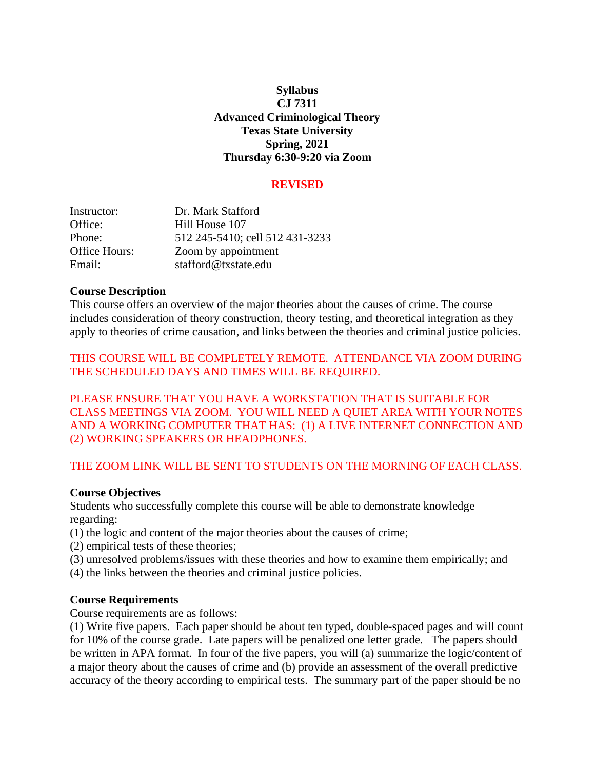## **Syllabus CJ 7311 Advanced Criminological Theory Texas State University Spring, 2021 Thursday 6:30-9:20 via Zoom**

#### **REVISED**

| Instructor:   | Dr. Mark Stafford               |
|---------------|---------------------------------|
| Office:       | Hill House 107                  |
| Phone:        | 512 245-5410; cell 512 431-3233 |
| Office Hours: | Zoom by appointment             |
| Email:        | stafford@txstate.edu            |

#### **Course Description**

This course offers an overview of the major theories about the causes of crime. The course includes consideration of theory construction, theory testing, and theoretical integration as they apply to theories of crime causation, and links between the theories and criminal justice policies.

THIS COURSE WILL BE COMPLETELY REMOTE. ATTENDANCE VIA ZOOM DURING THE SCHEDULED DAYS AND TIMES WILL BE REQUIRED.

PLEASE ENSURE THAT YOU HAVE A WORKSTATION THAT IS SUITABLE FOR CLASS MEETINGS VIA ZOOM. YOU WILL NEED A QUIET AREA WITH YOUR NOTES AND A WORKING COMPUTER THAT HAS: (1) A LIVE INTERNET CONNECTION AND (2) WORKING SPEAKERS OR HEADPHONES.

### THE ZOOM LINK WILL BE SENT TO STUDENTS ON THE MORNING OF EACH CLASS.

### **Course Objectives**

Students who successfully complete this course will be able to demonstrate knowledge regarding:

- (1) the logic and content of the major theories about the causes of crime;
- (2) empirical tests of these theories;
- (3) unresolved problems/issues with these theories and how to examine them empirically; and
- (4) the links between the theories and criminal justice policies.

### **Course Requirements**

Course requirements are as follows:

(1) Write five papers. Each paper should be about ten typed, double-spaced pages and will count for 10% of the course grade. Late papers will be penalized one letter grade. The papers should be written in APA format. In four of the five papers, you will (a) summarize the logic/content of a major theory about the causes of crime and (b) provide an assessment of the overall predictive accuracy of the theory according to empirical tests. The summary part of the paper should be no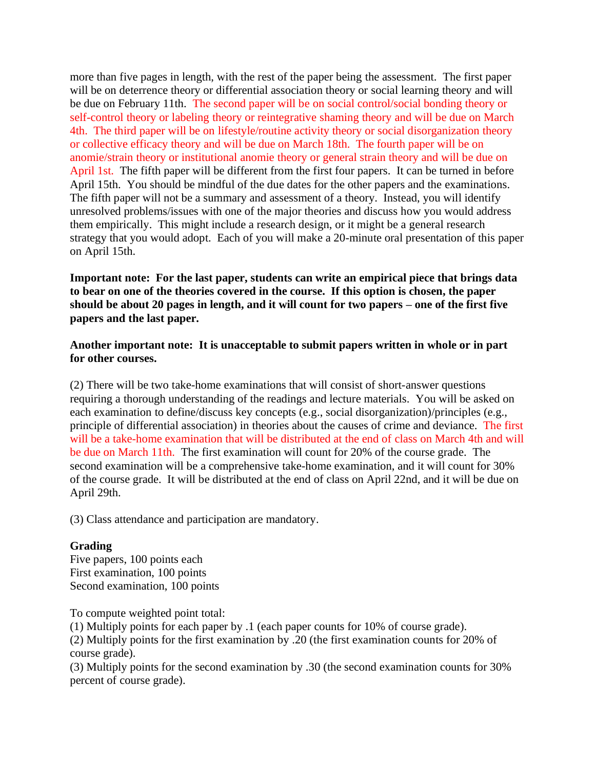more than five pages in length, with the rest of the paper being the assessment. The first paper will be on deterrence theory or differential association theory or social learning theory and will be due on February 11th. The second paper will be on social control/social bonding theory or self-control theory or labeling theory or reintegrative shaming theory and will be due on March 4th. The third paper will be on lifestyle/routine activity theory or social disorganization theory or collective efficacy theory and will be due on March 18th. The fourth paper will be on anomie/strain theory or institutional anomie theory or general strain theory and will be due on April 1st. The fifth paper will be different from the first four papers. It can be turned in before April 15th. You should be mindful of the due dates for the other papers and the examinations. The fifth paper will not be a summary and assessment of a theory. Instead, you will identify unresolved problems/issues with one of the major theories and discuss how you would address them empirically. This might include a research design, or it might be a general research strategy that you would adopt. Each of you will make a 20-minute oral presentation of this paper on April 15th.

**Important note: For the last paper, students can write an empirical piece that brings data to bear on one of the theories covered in the course. If this option is chosen, the paper should be about 20 pages in length, and it will count for two papers – one of the first five papers and the last paper.**

### **Another important note: It is unacceptable to submit papers written in whole or in part for other courses.**

(2) There will be two take-home examinations that will consist of short-answer questions requiring a thorough understanding of the readings and lecture materials. You will be asked on each examination to define/discuss key concepts (e.g., social disorganization)/principles (e.g., principle of differential association) in theories about the causes of crime and deviance. The first will be a take-home examination that will be distributed at the end of class on March 4th and will be due on March 11th. The first examination will count for 20% of the course grade. The second examination will be a comprehensive take-home examination, and it will count for 30% of the course grade. It will be distributed at the end of class on April 22nd, and it will be due on April 29th.

(3) Class attendance and participation are mandatory.

## **Grading**

Five papers, 100 points each First examination, 100 points Second examination, 100 points

To compute weighted point total:

(1) Multiply points for each paper by .1 (each paper counts for 10% of course grade).

(2) Multiply points for the first examination by .20 (the first examination counts for 20% of course grade).

(3) Multiply points for the second examination by .30 (the second examination counts for 30% percent of course grade).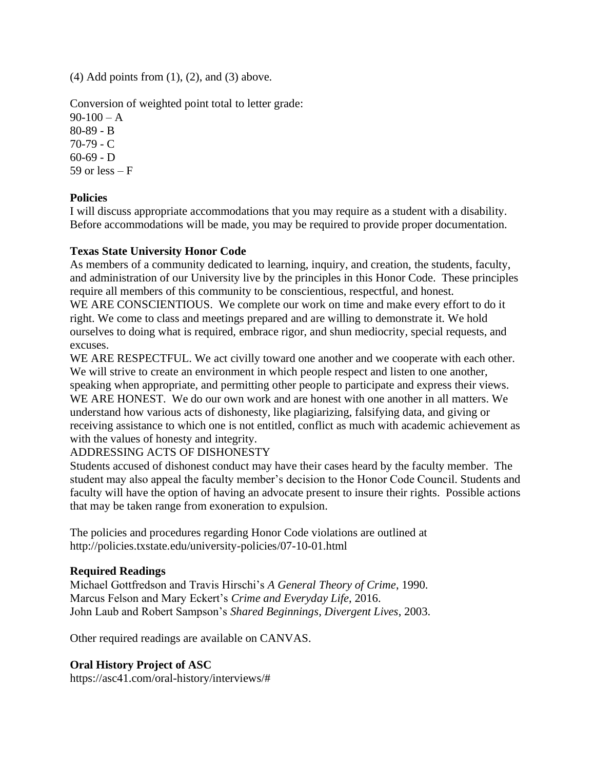$(4)$  Add points from  $(1)$ ,  $(2)$ , and  $(3)$  above.

Conversion of weighted point total to letter grade:

 $90-100 - A$ 80-89 - B 70-79 - C  $60-69 - D$ 59 or  $less - F$ 

## **Policies**

I will discuss appropriate accommodations that you may require as a student with a disability. Before accommodations will be made, you may be required to provide proper documentation.

## **Texas State University Honor Code**

As members of a community dedicated to learning, inquiry, and creation, the students, faculty, and administration of our University live by the principles in this Honor Code. These principles require all members of this community to be conscientious, respectful, and honest.

WE ARE CONSCIENTIOUS. We complete our work on time and make every effort to do it right. We come to class and meetings prepared and are willing to demonstrate it. We hold ourselves to doing what is required, embrace rigor, and shun mediocrity, special requests, and excuses.

WE ARE RESPECTFUL. We act civilly toward one another and we cooperate with each other. We will strive to create an environment in which people respect and listen to one another, speaking when appropriate, and permitting other people to participate and express their views. WE ARE HONEST. We do our own work and are honest with one another in all matters. We understand how various acts of dishonesty, like plagiarizing, falsifying data, and giving or receiving assistance to which one is not entitled, conflict as much with academic achievement as with the values of honesty and integrity.

## ADDRESSING ACTS OF DISHONESTY

Students accused of dishonest conduct may have their cases heard by the faculty member. The student may also appeal the faculty member's decision to the Honor Code Council. Students and faculty will have the option of having an advocate present to insure their rights. Possible actions that may be taken range from exoneration to expulsion.

The policies and procedures regarding Honor Code violations are outlined at http://policies.txstate.edu/university-policies/07-10-01.html

## **Required Readings**

Michael Gottfredson and Travis Hirschi's *A General Theory of Crime*, 1990. Marcus Felson and Mary Eckert's *Crime and Everyday Life*, 2016. John Laub and Robert Sampson's *Shared Beginnings, Divergent Lives*, 2003.

Other required readings are available on CANVAS.

## **Oral History Project of ASC**

https://asc41.com/oral-history/interviews/#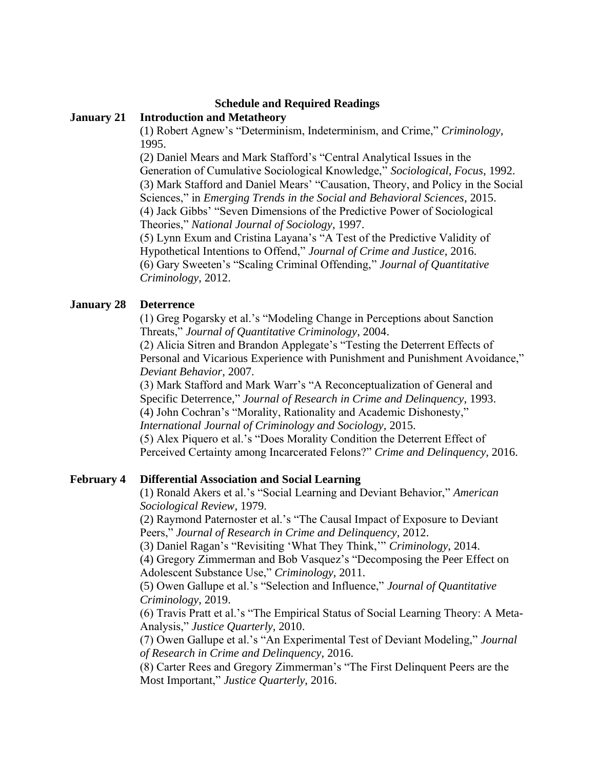### **Schedule and Required Readings**

### **January 21 Introduction and Metatheory**

(1) Robert Agnew's "Determinism, Indeterminism, and Crime," *Criminology*, 1995.

(2) Daniel Mears and Mark Stafford's "Central Analytical Issues in the Generation of Cumulative Sociological Knowledge," *Sociological, Focus*, 1992. (3) Mark Stafford and Daniel Mears' "Causation, Theory, and Policy in the Social Sciences," in *Emerging Trends in the Social and Behavioral Sciences*, 2015. (4) Jack Gibbs' "Seven Dimensions of the Predictive Power of Sociological Theories," *National Journal of Sociology*, 1997.

(5) Lynn Exum and Cristina Layana's "A Test of the Predictive Validity of Hypothetical Intentions to Offend," *Journal of Crime and Justice*, 2016. (6) Gary Sweeten's "Scaling Criminal Offending," *Journal of Quantitative Criminology*, 2012.

### **January 28 Deterrence**

(1) Greg Pogarsky et al.'s "Modeling Change in Perceptions about Sanction Threats," *Journal of Quantitative Criminology*, 2004.

(2) Alicia Sitren and Brandon Applegate's "Testing the Deterrent Effects of Personal and Vicarious Experience with Punishment and Punishment Avoidance," *Deviant Behavior*, 2007.

(3) Mark Stafford and Mark Warr's "A Reconceptualization of General and Specific Deterrence," *Journal of Research in Crime and Delinquency*, 1993. (4) John Cochran's "Morality, Rationality and Academic Dishonesty," *International Journal of Criminology and Sociology*, 2015.

(5) Alex Piquero et al.'s "Does Morality Condition the Deterrent Effect of Perceived Certainty among Incarcerated Felons?" *Crime and Delinquency*, 2016.

### **February 4 Differential Association and Social Learning**

(1) Ronald Akers et al.'s "Social Learning and Deviant Behavior," *American Sociological Review*, 1979.

(2) Raymond Paternoster et al.'s "The Causal Impact of Exposure to Deviant Peers," *Journal of Research in Crime and Delinquency*, 2012.

(3) Daniel Ragan's "Revisiting 'What They Think,'" *Criminology*, 2014.

(4) Gregory Zimmerman and Bob Vasquez's "Decomposing the Peer Effect on Adolescent Substance Use," *Criminology*, 2011.

(5) Owen Gallupe et al.'s "Selection and Influence," *Journal of Quantitative Criminology*, 2019.

(6) Travis Pratt et al.'s "The Empirical Status of Social Learning Theory: A Meta-Analysis," *Justice Quarterly*, 2010.

(7) Owen Gallupe et al.'s "An Experimental Test of Deviant Modeling," *Journal of Research in Crime and Delinquency*, 2016.

(8) Carter Rees and Gregory Zimmerman's "The First Delinquent Peers are the Most Important," *Justice Quarterly*, 2016.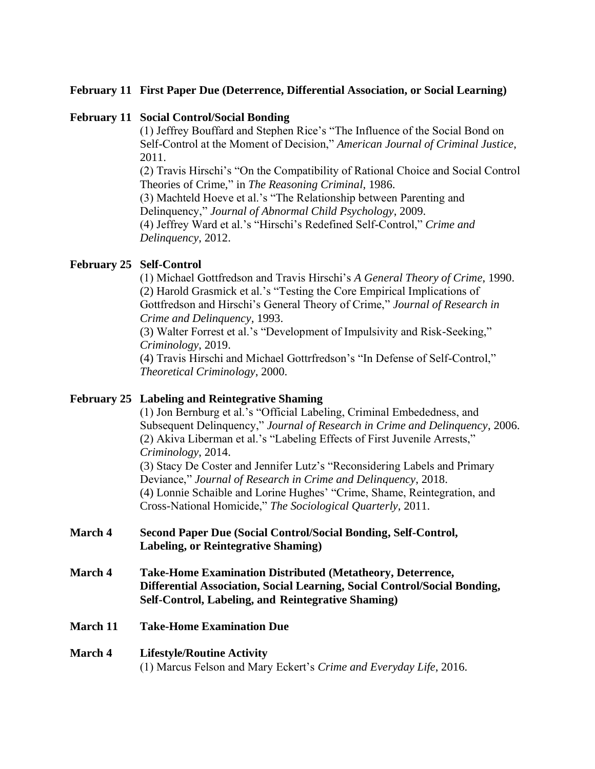### **February 11 First Paper Due (Deterrence, Differential Association, or Social Learning)**

### **February 11 Social Control/Social Bonding**

(1) Jeffrey Bouffard and Stephen Rice's "The Influence of the Social Bond on Self-Control at the Moment of Decision," *American Journal of Criminal Justice*, 2011.

(2) Travis Hirschi's "On the Compatibility of Rational Choice and Social Control Theories of Crime," in *The Reasoning Criminal*, 1986.

(3) Machteld Hoeve et al.'s "The Relationship between Parenting and Delinquency," *Journal of Abnormal Child Psychology*, 2009.

(4) Jeffrey Ward et al.'s "Hirschi's Redefined Self-Control," *Crime and Delinquency*, 2012.

## **February 25 Self-Control**

(1) Michael Gottfredson and Travis Hirschi's *A General Theory of Crime*, 1990. (2) Harold Grasmick et al.'s "Testing the Core Empirical Implications of Gottfredson and Hirschi's General Theory of Crime," *Journal of Research in Crime and Delinquency*, 1993.

(3) Walter Forrest et al.'s "Development of Impulsivity and Risk-Seeking," *Criminology*, 2019.

(4) Travis Hirschi and Michael Gottrfredson's "In Defense of Self-Control," *Theoretical Criminology*, 2000.

## **February 25 Labeling and Reintegrative Shaming**

(1) Jon Bernburg et al.'s "Official Labeling, Criminal Embededness, and Subsequent Delinquency," *Journal of Research in Crime and Delinquency*, 2006. (2) Akiva Liberman et al.'s "Labeling Effects of First Juvenile Arrests," *Criminology*, 2014.

(3) Stacy De Coster and Jennifer Lutz's "Reconsidering Labels and Primary Deviance," *Journal of Research in Crime and Delinquency*, 2018. (4) Lonnie Schaible and Lorine Hughes' "Crime, Shame, Reintegration, and Cross-National Homicide," *The Sociological Quarterly*, 2011.

- **March 4 Second Paper Due (Social Control/Social Bonding, Self-Control, Labeling, or Reintegrative Shaming)**
- **March 4 Take-Home Examination Distributed (Metatheory, Deterrence, Differential Association, Social Learning, Social Control/Social Bonding, Self-Control, Labeling, and Reintegrative Shaming)**
- **March 11 Take-Home Examination Due**

#### **March 4 Lifestyle/Routine Activity** (1) Marcus Felson and Mary Eckert's *Crime and Everyday Life*, 2016.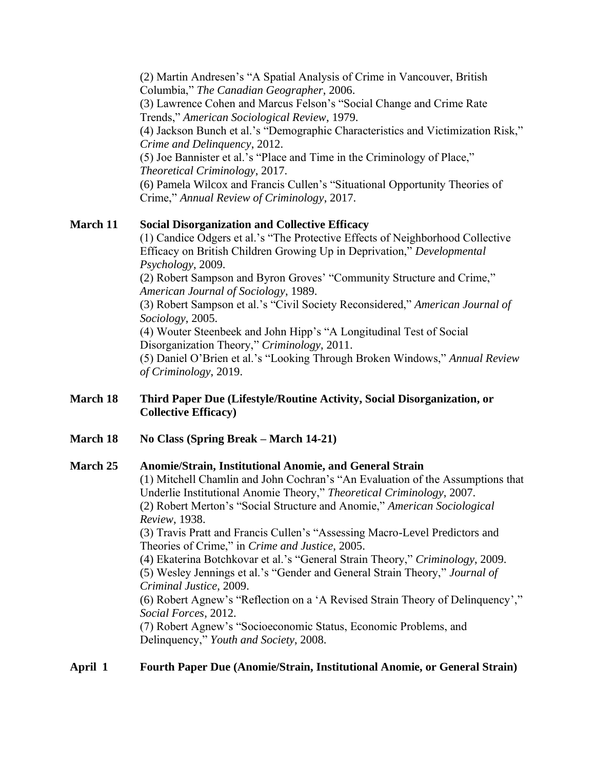(2) Martin Andresen's "A Spatial Analysis of Crime in Vancouver, British Columbia," *The Canadian Geographer*, 2006. (3) Lawrence Cohen and Marcus Felson's "Social Change and Crime Rate Trends," *American Sociological Review*, 1979. (4) Jackson Bunch et al.'s "Demographic Characteristics and Victimization Risk," *Crime and Delinquency*, 2012. (5) Joe Bannister et al.'s "Place and Time in the Criminology of Place," *Theoretical Criminology*, 2017. (6) Pamela Wilcox and Francis Cullen's "Situational Opportunity Theories of

Crime," *Annual Review of Criminology*, 2017.

### **March 11 Social Disorganization and Collective Efficacy**

(1) Candice Odgers et al.'s "The Protective Effects of Neighborhood Collective Efficacy on British Children Growing Up in Deprivation," *Developmental Psychology*, 2009.

(2) Robert Sampson and Byron Groves' "Community Structure and Crime," *American Journal of Sociology*, 1989.

(3) Robert Sampson et al.'s "Civil Society Reconsidered," *American Journal of Sociology*, 2005.

(4) Wouter Steenbeek and John Hipp's "A Longitudinal Test of Social Disorganization Theory," *Criminology*, 2011.

(5) Daniel O'Brien et al.'s "Looking Through Broken Windows," *Annual Review of Criminology*, 2019.

### **March 18 Third Paper Due (Lifestyle/Routine Activity, Social Disorganization, or Collective Efficacy)**

## **March 18 No Class (Spring Break – March 14-21)**

### **March 25 Anomie/Strain, Institutional Anomie, and General Strain**

(1) Mitchell Chamlin and John Cochran's "An Evaluation of the Assumptions that Underlie Institutional Anomie Theory," *Theoretical Criminology*, 2007. (2) Robert Merton's "Social Structure and Anomie," *American Sociological Review*, 1938. (3) Travis Pratt and Francis Cullen's "Assessing Macro-Level Predictors and Theories of Crime," in *Crime and Justice*, 2005. (4) Ekaterina Botchkovar et al.'s "General Strain Theory," *Criminology*, 2009. (5) Wesley Jennings et al.'s "Gender and General Strain Theory," *Journal of Criminal Justice*, 2009. (6) Robert Agnew's "Reflection on a 'A Revised Strain Theory of Delinquency',"

*Social Forces*, 2012.

(7) Robert Agnew's "Socioeconomic Status, Economic Problems, and Delinquency," *Youth and Society*, 2008.

## **April 1 Fourth Paper Due (Anomie/Strain, Institutional Anomie, or General Strain)**